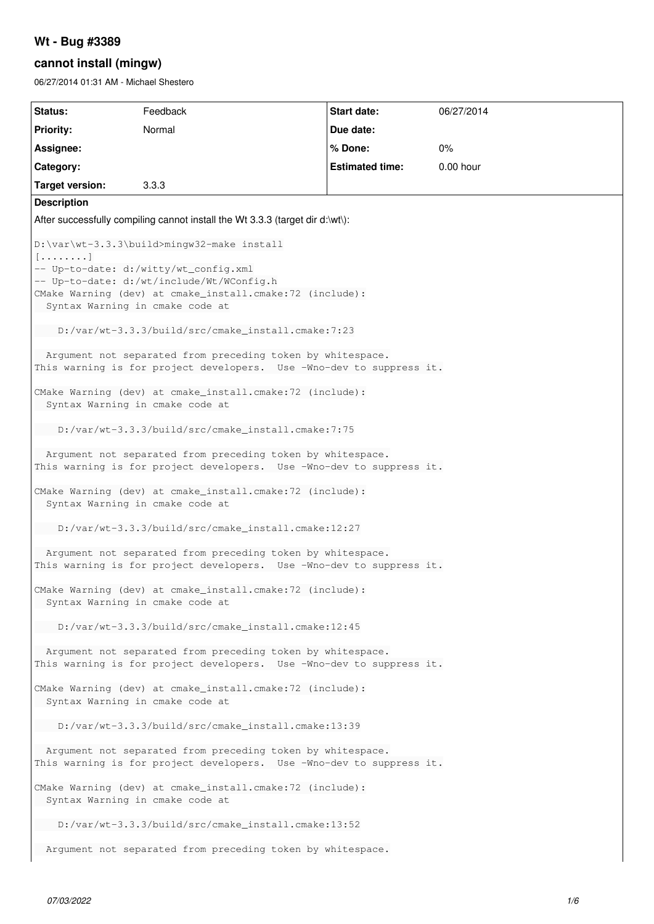## **Wt - Bug #3389**

# **cannot install (mingw)**

06/27/2014 01:31 AM - Michael Shestero

| <b>Status:</b>                                                                                                                                                                                                                              | Feedback | <b>Start date:</b>     | 06/27/2014  |
|---------------------------------------------------------------------------------------------------------------------------------------------------------------------------------------------------------------------------------------------|----------|------------------------|-------------|
| <b>Priority:</b>                                                                                                                                                                                                                            | Normal   | Due date:              |             |
| Assignee:                                                                                                                                                                                                                                   |          | % Done:                | 0%          |
| Category:                                                                                                                                                                                                                                   |          | <b>Estimated time:</b> | $0.00$ hour |
| <b>Target version:</b>                                                                                                                                                                                                                      | 3.3.3    |                        |             |
| <b>Description</b>                                                                                                                                                                                                                          |          |                        |             |
| After successfully compiling cannot install the Wt 3.3.3 (target dir d:\wt\):                                                                                                                                                               |          |                        |             |
| D:\var\wt-3.3.3\build>mingw32-make install<br>$\lceil$<br>-- Up-to-date: d:/witty/wt_config.xml<br>-- Up-to-date: d:/wt/include/Wt/WConfig.h<br>CMake Warning (dev) at cmake_install.cmake:72 (include):<br>Syntax Warning in cmake code at |          |                        |             |
| D:/var/wt-3.3.3/build/src/cmake_install.cmake:7:23                                                                                                                                                                                          |          |                        |             |
| Argument not separated from preceding token by whitespace.<br>This warning is for project developers. Use -Wno-dev to suppress it.                                                                                                          |          |                        |             |
| CMake Warning (dev) at cmake_install.cmake:72 (include):<br>Syntax Warning in cmake code at                                                                                                                                                 |          |                        |             |
| D:/var/wt-3.3.3/build/src/cmake_install.cmake:7:75                                                                                                                                                                                          |          |                        |             |
| Argument not separated from preceding token by whitespace.<br>This warning is for project developers. Use -Wno-dev to suppress it.                                                                                                          |          |                        |             |
| CMake Warning (dev) at cmake_install.cmake:72 (include):<br>Syntax Warning in cmake code at                                                                                                                                                 |          |                        |             |
| D:/var/wt-3.3.3/build/src/cmake_install.cmake:12:27                                                                                                                                                                                         |          |                        |             |
| Argument not separated from preceding token by whitespace.<br>This warning is for project developers. Use -Wno-dev to suppress it.                                                                                                          |          |                        |             |
| CMake Warning (dev) at cmake_install.cmake:72 (include):<br>Syntax Warning in cmake code at                                                                                                                                                 |          |                        |             |
| D:/var/wt-3.3.3/build/src/cmake_install.cmake:12:45                                                                                                                                                                                         |          |                        |             |
| Arqument not separated from preceding token by whitespace.<br>This warning is for project developers. Use -Wno-dev to suppress it.                                                                                                          |          |                        |             |
| CMake Warning (dev) at cmake_install.cmake:72 (include):<br>Syntax Warning in cmake code at                                                                                                                                                 |          |                        |             |
| D:/var/wt-3.3.3/build/src/cmake_install.cmake:13:39                                                                                                                                                                                         |          |                        |             |
| Argument not separated from preceding token by whitespace.<br>This warning is for project developers. Use -Wno-dev to suppress it.                                                                                                          |          |                        |             |
| CMake Warning (dev) at cmake_install.cmake:72 (include):<br>Syntax Warning in cmake code at                                                                                                                                                 |          |                        |             |
| D:/var/wt-3.3.3/build/src/cmake_install.cmake:13:52                                                                                                                                                                                         |          |                        |             |
| Argument not separated from preceding token by whitespace.                                                                                                                                                                                  |          |                        |             |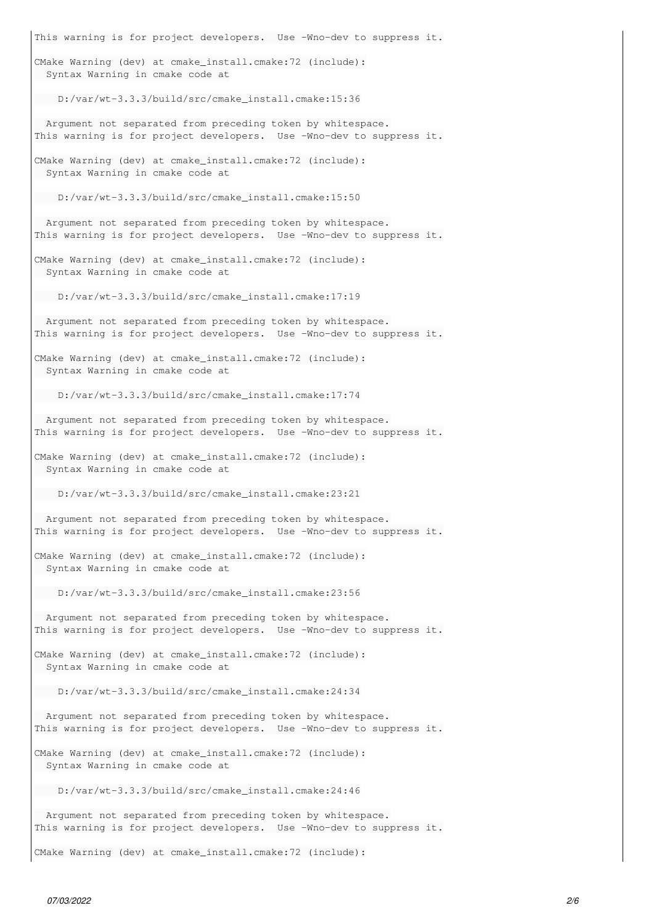This warning is for project developers. Use -Wno-dev to suppress it. CMake Warning (dev) at cmake\_install.cmake:72 (include): Syntax Warning in cmake code at D:/var/wt-3.3.3/build/src/cmake\_install.cmake:15:36 Argument not separated from preceding token by whitespace. This warning is for project developers. Use -Wno-dev to suppress it. CMake Warning (dev) at cmake\_install.cmake:72 (include): Syntax Warning in cmake code at D:/var/wt-3.3.3/build/src/cmake\_install.cmake:15:50 Argument not separated from preceding token by whitespace. This warning is for project developers. Use -Wno-dev to suppress it. CMake Warning (dev) at cmake\_install.cmake:72 (include): Syntax Warning in cmake code at D:/var/wt-3.3.3/build/src/cmake\_install.cmake:17:19 Argument not separated from preceding token by whitespace. This warning is for project developers. Use -Wno-dev to suppress it. CMake Warning (dev) at cmake\_install.cmake:72 (include): Syntax Warning in cmake code at D:/var/wt-3.3.3/build/src/cmake\_install.cmake:17:74 Argument not separated from preceding token by whitespace. This warning is for project developers. Use -Wno-dev to suppress it. CMake Warning (dev) at cmake\_install.cmake:72 (include): Syntax Warning in cmake code at D:/var/wt-3.3.3/build/src/cmake\_install.cmake:23:21 Argument not separated from preceding token by whitespace. This warning is for project developers. Use -Wno-dev to suppress it. CMake Warning (dev) at cmake\_install.cmake:72 (include): Syntax Warning in cmake code at D:/var/wt-3.3.3/build/src/cmake\_install.cmake:23:56 Argument not separated from preceding token by whitespace. This warning is for project developers. Use -Wno-dev to suppress it. CMake Warning (dev) at cmake\_install.cmake:72 (include): Syntax Warning in cmake code at D:/var/wt-3.3.3/build/src/cmake\_install.cmake:24:34 Argument not separated from preceding token by whitespace. This warning is for project developers. Use -Wno-dev to suppress it. CMake Warning (dev) at cmake\_install.cmake:72 (include): Syntax Warning in cmake code at D:/var/wt-3.3.3/build/src/cmake\_install.cmake:24:46 Argument not separated from preceding token by whitespace. This warning is for project developers. Use -Wno-dev to suppress it.

CMake Warning (dev) at cmake\_install.cmake:72 (include):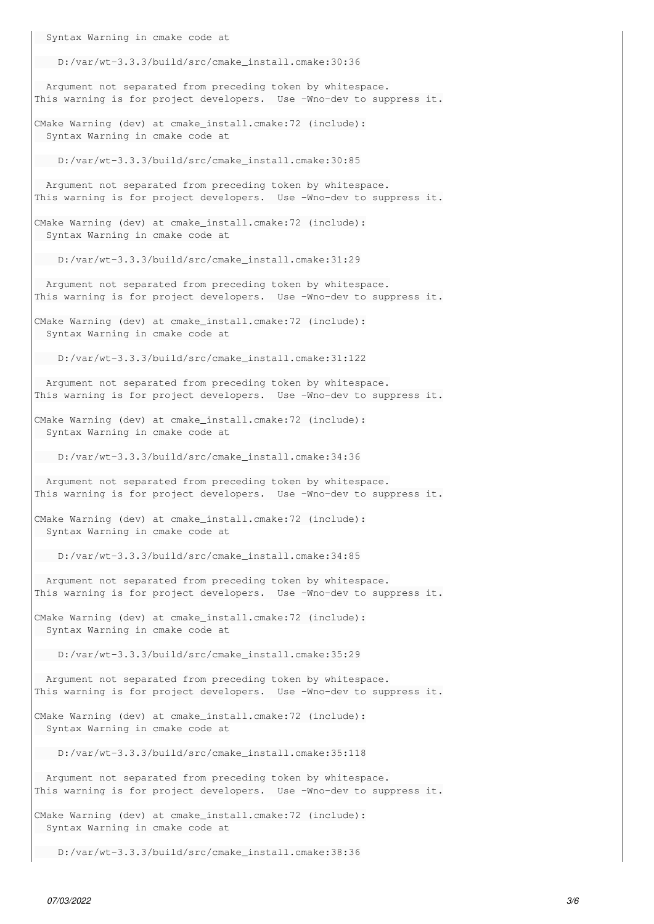Syntax Warning in cmake code at D:/var/wt-3.3.3/build/src/cmake\_install.cmake:30:36 Argument not separated from preceding token by whitespace. This warning is for project developers. Use -Wno-dev to suppress it. CMake Warning (dev) at cmake\_install.cmake:72 (include): Syntax Warning in cmake code at D:/var/wt-3.3.3/build/src/cmake\_install.cmake:30:85 Argument not separated from preceding token by whitespace. This warning is for project developers. Use -Wno-dev to suppress it. CMake Warning (dev) at cmake\_install.cmake:72 (include): Syntax Warning in cmake code at D:/var/wt-3.3.3/build/src/cmake\_install.cmake:31:29 Argument not separated from preceding token by whitespace. This warning is for project developers. Use -Wno-dev to suppress it. CMake Warning (dev) at cmake\_install.cmake:72 (include): Syntax Warning in cmake code at D:/var/wt-3.3.3/build/src/cmake\_install.cmake:31:122 Argument not separated from preceding token by whitespace. This warning is for project developers. Use -Wno-dev to suppress it. CMake Warning (dev) at cmake\_install.cmake:72 (include): Syntax Warning in cmake code at D:/var/wt-3.3.3/build/src/cmake\_install.cmake:34:36 Argument not separated from preceding token by whitespace. This warning is for project developers. Use -Wno-dev to suppress it. CMake Warning (dev) at cmake\_install.cmake:72 (include): Syntax Warning in cmake code at D:/var/wt-3.3.3/build/src/cmake\_install.cmake:34:85 Argument not separated from preceding token by whitespace. This warning is for project developers. Use -Wno-dev to suppress it. CMake Warning (dev) at cmake\_install.cmake:72 (include): Syntax Warning in cmake code at D:/var/wt-3.3.3/build/src/cmake\_install.cmake:35:29 Argument not separated from preceding token by whitespace. This warning is for project developers. Use -Wno-dev to suppress it. CMake Warning (dev) at cmake\_install.cmake:72 (include): Syntax Warning in cmake code at D:/var/wt-3.3.3/build/src/cmake\_install.cmake:35:118 Argument not separated from preceding token by whitespace. This warning is for project developers. Use -Wno-dev to suppress it. CMake Warning (dev) at cmake\_install.cmake:72 (include): Syntax Warning in cmake code at

D:/var/wt-3.3.3/build/src/cmake\_install.cmake:38:36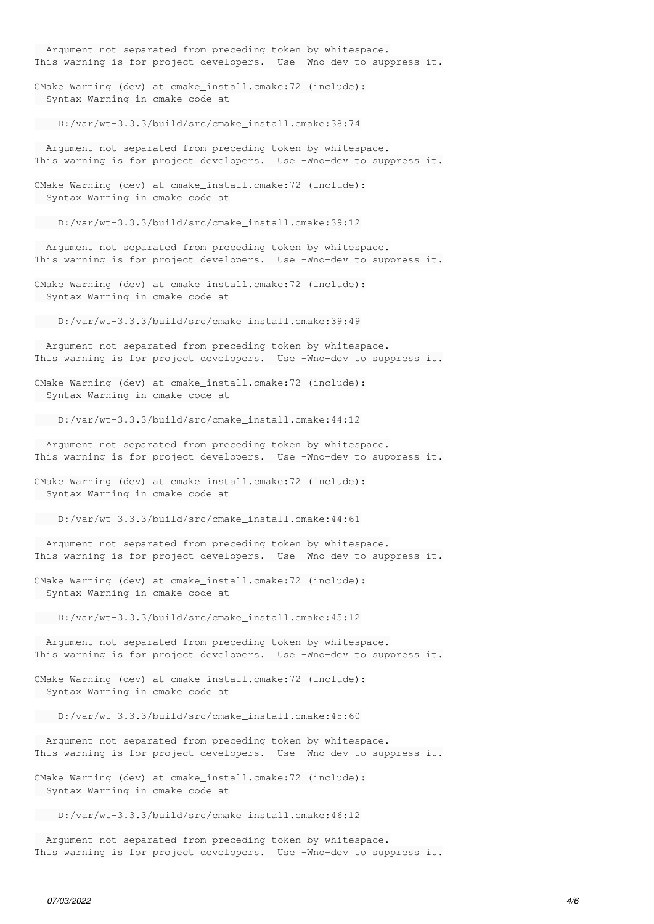Argument not separated from preceding token by whitespace. This warning is for project developers. Use -Wno-dev to suppress it. CMake Warning (dev) at cmake\_install.cmake:72 (include): Syntax Warning in cmake code at D:/var/wt-3.3.3/build/src/cmake\_install.cmake:38:74 Argument not separated from preceding token by whitespace. This warning is for project developers. Use -Wno-dev to suppress it. CMake Warning (dev) at cmake\_install.cmake:72 (include): Syntax Warning in cmake code at D:/var/wt-3.3.3/build/src/cmake\_install.cmake:39:12 Argument not separated from preceding token by whitespace. This warning is for project developers. Use -Wno-dev to suppress it. CMake Warning (dev) at cmake\_install.cmake:72 (include): Syntax Warning in cmake code at D:/var/wt-3.3.3/build/src/cmake\_install.cmake:39:49 Argument not separated from preceding token by whitespace. This warning is for project developers. Use -Wno-dev to suppress it. CMake Warning (dev) at cmake\_install.cmake:72 (include): Syntax Warning in cmake code at D:/var/wt-3.3.3/build/src/cmake\_install.cmake:44:12 Argument not separated from preceding token by whitespace. This warning is for project developers. Use -Wno-dev to suppress it. CMake Warning (dev) at cmake\_install.cmake:72 (include): Syntax Warning in cmake code at D:/var/wt-3.3.3/build/src/cmake\_install.cmake:44:61 Argument not separated from preceding token by whitespace. This warning is for project developers. Use -Wno-dev to suppress it. CMake Warning (dev) at cmake\_install.cmake:72 (include): Syntax Warning in cmake code at D:/var/wt-3.3.3/build/src/cmake\_install.cmake:45:12 Argument not separated from preceding token by whitespace. This warning is for project developers. Use -Wno-dev to suppress it. CMake Warning (dev) at cmake\_install.cmake:72 (include): Syntax Warning in cmake code at D:/var/wt-3.3.3/build/src/cmake\_install.cmake:45:60 Argument not separated from preceding token by whitespace. This warning is for project developers. Use -Wno-dev to suppress it. CMake Warning (dev) at cmake\_install.cmake:72 (include): Syntax Warning in cmake code at D:/var/wt-3.3.3/build/src/cmake\_install.cmake:46:12 Argument not separated from preceding token by whitespace. This warning is for project developers. Use -Wno-dev to suppress it.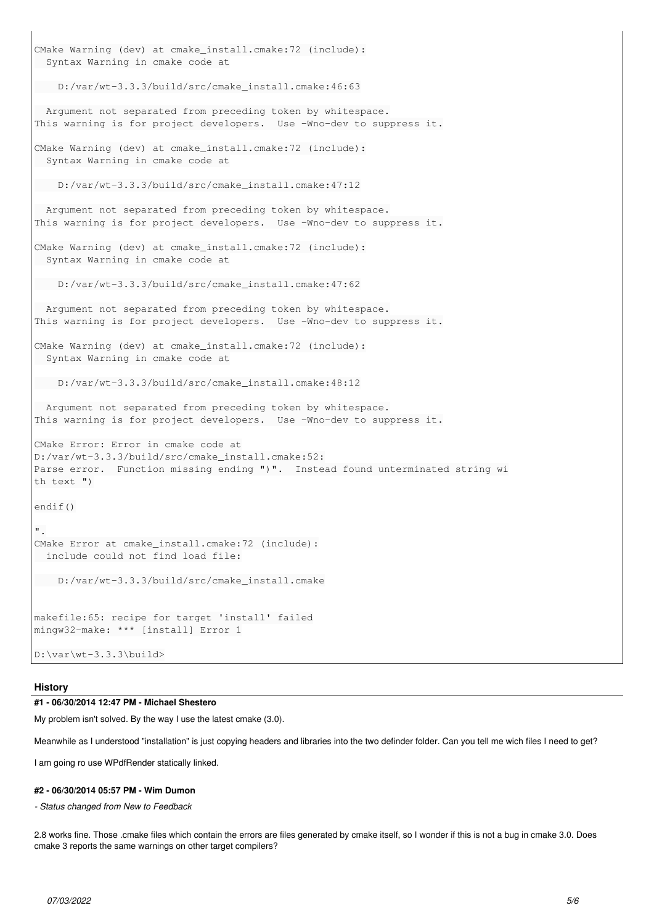```
CMake Warning (dev) at cmake_install.cmake:72 (include):
   Syntax Warning in cmake code at
      D:/var/wt-3.3.3/build/src/cmake_install.cmake:46:63
   Argument not separated from preceding token by whitespace.
This warning is for project developers.  Use -Wno-dev to suppress it.
CMake Warning (dev) at cmake_install.cmake:72 (include):
   Syntax Warning in cmake code at
      D:/var/wt-3.3.3/build/src/cmake_install.cmake:47:12
   Argument not separated from preceding token by whitespace.
This warning is for project developers. Use -Wno-dev to suppress it.
CMake Warning (dev) at cmake_install.cmake:72 (include):
  Syntax Warning in cmake code at
      D:/var/wt-3.3.3/build/src/cmake_install.cmake:47:62
   Argument not separated from preceding token by whitespace.
This warning is for project developers.  Use -Wno-dev to suppress it.
CMake Warning (dev) at cmake_install.cmake:72 (include):
  Syntax Warning in cmake code at
      D:/var/wt-3.3.3/build/src/cmake_install.cmake:48:12
   Argument not separated from preceding token by whitespace.
This warning is for project developers.  Use -Wno-dev to suppress it.
CMake Error: Error in cmake code at
D:/var/wt-3.3.3/build/src/cmake_install.cmake:52:
Parse error.  Function missing ending ")".  Instead found unterminated string wi
th text ")
endif()
".
CMake Error at cmake_install.cmake:72 (include):
   include could not find load file:
     D:/var/wt-3.3.3/build/src/cmake_install.cmake
makefile:65: recipe for target 'install' failed
mingw32-make: *** [install] Error 1
D:\var\wt-3.3.3\build>
```
#### **History**

## **#1 - 06/30/2014 12:47 PM - Michael Shestero**

My problem isn't solved. By the way I use the latest cmake (3.0).

Meanwhile as I understood "installation" is just copying headers and libraries into the two definder folder. Can you tell me wich files I need to get?

I am going ro use WPdfRender statically linked.

#### **#2 - 06/30/2014 05:57 PM - Wim Dumon**

*- Status changed from New to Feedback*

2.8 works fine. Those .cmake files which contain the errors are files generated by cmake itself, so I wonder if this is not a bug in cmake 3.0. Does cmake 3 reports the same warnings on other target compilers?